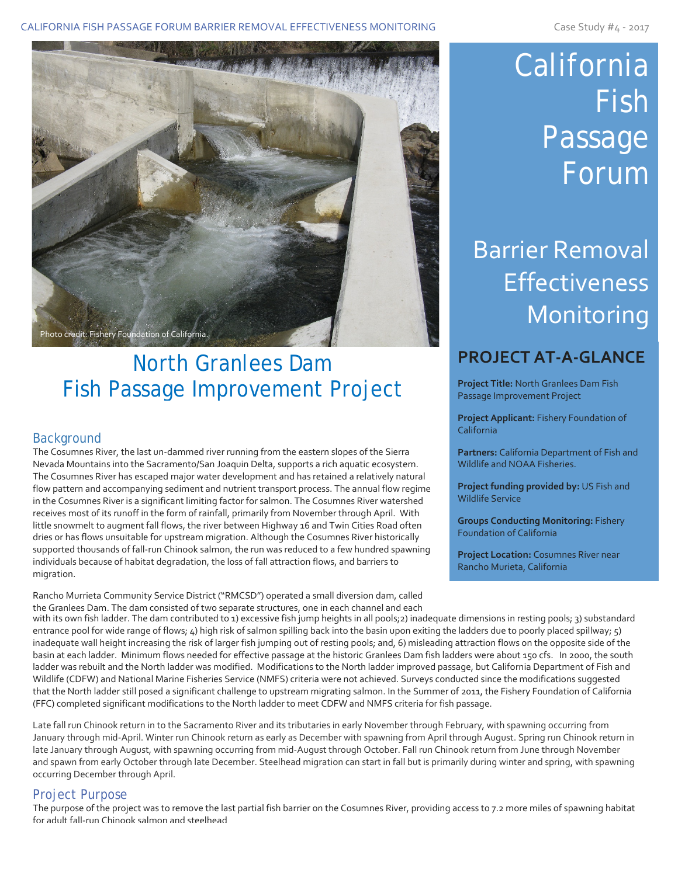CALIFORNIA FISH PASSAGE FORUM BARRIER REMOVAL EFFECTIVENESS MONITORING CASE CASE Study #4 - 2017



### North Granlees Dam Fish Passage Improvement Project

#### **Background**

The Cosumnes River, the last un-dammed river running from the eastern slopes of the Sierra Nevada Mountains into the Sacramento/San Joaquin Delta, supports a rich aquatic ecosystem. The Cosumnes River has escaped major water development and has retained a relatively natural flow pattern and accompanying sediment and nutrient transport process. The annual flow regime in the Cosumnes River is a significant limiting factor for salmon. The Cosumnes River watershed receives most of its runoff in the form of rainfall, primarily from November through April. With little snowmelt to augment fall flows, the river between Highway 16 and Twin Cities Road often dries or has flows unsuitable for upstream migration. Although the Cosumnes River historically supported thousands of fall-run Chinook salmon, the run was reduced to a few hundred spawning individuals because of habitat degradation, the loss of fall attraction flows, and barriers to migration.

Rancho Murrieta Community Service District ("RMCSD") operated a small diversion dam, called the Granlees Dam. The dam consisted of two separate structures, one in each channel and each

# California Fish Passage Forum

## Barrier Removal Effectiveness Monitoring

### **PROJECT AT-A-GLANCE**

**Project Title:** North Granlees Dam Fish Passage Improvement Project

**Project Applicant:** Fishery Foundation of California

**Partners:** California Department of Fish and Wildlife and NOAA Fisheries.

**Project funding provided by:** US Fish and Wildlife Service

**Groups Conducting Monitoring:** Fishery Foundation of California

**Project Location:** Cosumnes River near Rancho Murieta, California

with its own fish ladder. The dam contributed to 1) excessive fish jump heights in all pools; 2) inadequate dimensions in resting pools; 3) substandard entrance pool for wide range of flows; 4) high risk of salmon spilling back into the basin upon exiting the ladders due to poorly placed spillway; 5) inadequate wall height increasing the risk of larger fish jumping out of resting pools; and, 6) misleading attraction flows on the opposite side of the basin at each ladder. Minimum flows needed for effective passage at the historic Granlees Dam fish ladders were about 150 cfs. In 2000, the south ladder was rebuilt and the North ladder was modified. Modifications to the North ladder improved passage, but California Department of Fish and Wildlife (CDFW) and National Marine Fisheries Service (NMFS) criteria were not achieved. Surveys conducted since the modifications suggested that the North ladder still posed a significant challenge to upstream migrating salmon. In the Summer of 2011, the Fishery Foundation of California (FFC) completed significant modifications to the North ladder to meet CDFW and NMFS criteria for fish passage.

Late fall run Chinook return in to the Sacramento River and its tributaries in early November through February, with spawning occurring from January through mid-April. Winter run Chinook return as early as December with spawning from April through August. Spring run Chinook return in late January through August, with spawning occurring from mid-August through October. Fall run Chinook return from June through November and spawn from early October through late December. Steelhead migration can start in fall but is primarily during winter and spring, with spawning occurring December through April.

#### Project Purpose

The purpose of the project was to remove the last partial fish barrier on the Cosumnes River, providing access to 7.2 more miles of spawning habitat for adult fall-run Chinook salmon and steelhead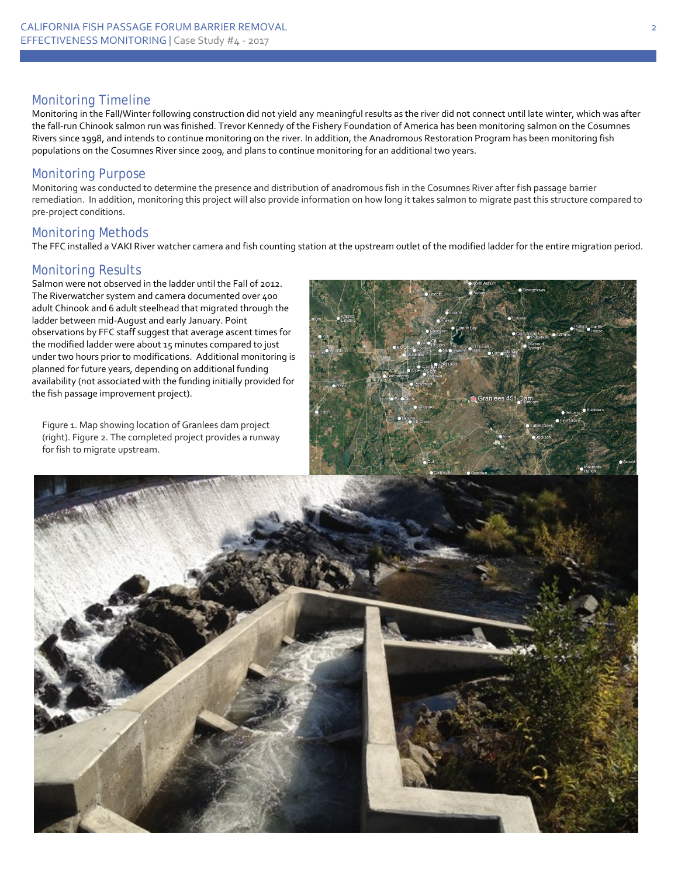#### Monitoring Timeline

Monitoring in the Fall/Winter following construction did not yield any meaningful results as the river did not connect until late winter, which was after the fall-run Chinook salmon run was finished. Trevor Kennedy of the Fishery Foundation of America has been monitoring salmon on the Cosumnes Rivers since 1998, and intends to continue monitoring on the river. In addition, the Anadromous Restoration Program has been monitoring fish populations on the Cosumnes River since 2009, and plans to continue monitoring for an additional two years.

#### Monitoring Purpose

Monitoring was conducted to determine the presence and distribution of anadromous fish in the Cosumnes River after fish passage barrier remediation. In addition, monitoring this project will also provide information on how long it takes salmon to migrate past this structure compared to pre-project conditions.

#### Monitoring Methods

The FFC installed a VAKI River watcher camera and fish counting station at the upstream outlet of the modified ladder for the entire migration period.

#### Monitoring Results

Salmon were not observed in the ladder until the Fall of 2012. The Riverwatcher system and camera documented over 400 adult Chinook and 6 adult steelhead that migrated through the ladder between mid-August and early January. Point observations by FFC staff suggest that average ascent times for the modified ladder were about 15 minutes compared to just under two hours prior to modifications. Additional monitoring is planned for future years, depending on additional funding availability (not associated with the funding initially provided for the fish passage improvement project).

Figure 1. Map showing location of Granlees dam project